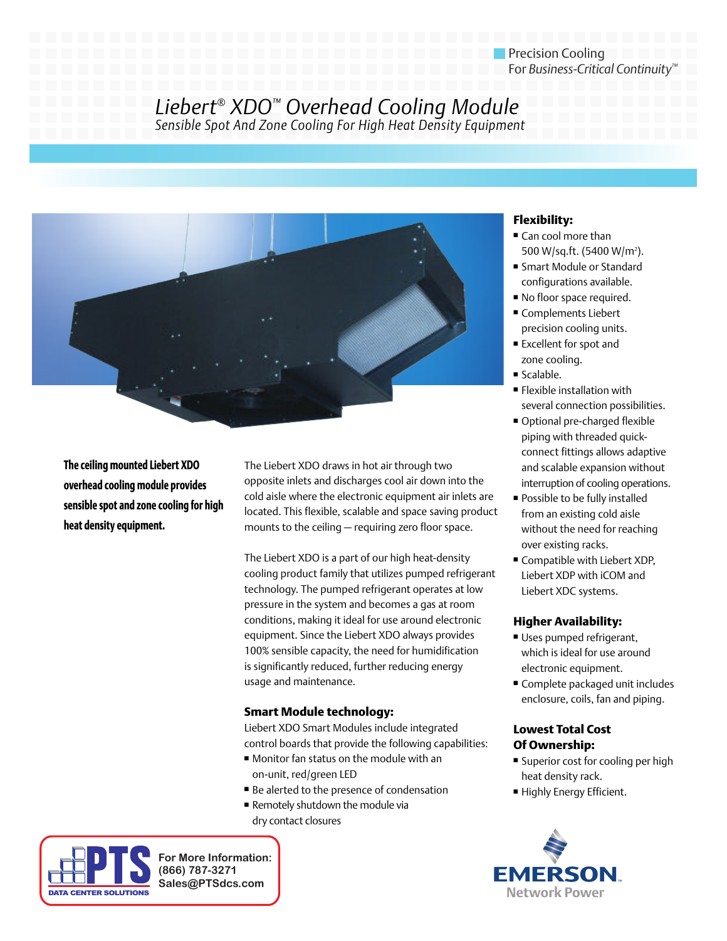# Precision Cooling For *Business-Critical Continuity™*

# *Liebert® XDO™ Overhead Cooling Module Sensible Spot And Zone Cooling For High Heat Density Equipment*



**The ceiling mounted Liebert XDO overhead cooling module provides sensible spot and zone cooling for high heat density equipment.** 

The Liebert XDO draws in hot air through two opposite inlets and discharges cool air down into the cold aisle where the electronic equipment air inlets are located. This flexible, scalable and space saving product mounts to the ceiling — requiring zero floor space.

The Liebert XDO is a part of our high heat-density cooling product family that utilizes pumped refrigerant technology. The pumped refrigerant operates at low pressure in the system and becomes a gas at room conditions, making it ideal for use around electronic equipment. Since the Liebert XDO always provides 100% sensible capacity, the need for humidification is significantly reduced, further reducing energy usage and maintenance.

### **Smart Module technology:**

Liebert XDO Smart Modules include integrated control boards that provide the following capabilities:

- Monitor fan status on the module with an on-unit, red/green LED
- Be alerted to the presence of condensation
- Remotely shutdown the module via dry contact closures



**For More Information: (866) 787-3271 Sales@PTSdcs.com**

# **Flexibility:**

- Can cool more than 500 W/sq.ft. (5400 W/m<sup>2</sup>).
- Smart Module or Standard configurations available.
- No floor space required.
- Complements Liebert precision cooling units.
- Excellent for spot and zone cooling.
- Scalable.
- Flexible installation with several connection possibilities.
- Optional pre-charged flexible piping with threaded quickconnect fittings allows adaptive and scalable expansion without interruption of cooling operations.
- Possible to be fully installed from an existing cold aisle without the need for reaching over existing racks.
- Compatible with Liebert XDP, Liebert XDP with iCOM and Liebert XDC systems.

## **Higher Availability:**

- Uses pumped refrigerant, which is ideal for use around electronic equipment.
- Complete packaged unit includes enclosure, coils, fan and piping.

### **Lowest Total Cost Of Ownership:**

- Superior cost for cooling per high heat density rack.
- Highly Energy Efficient.